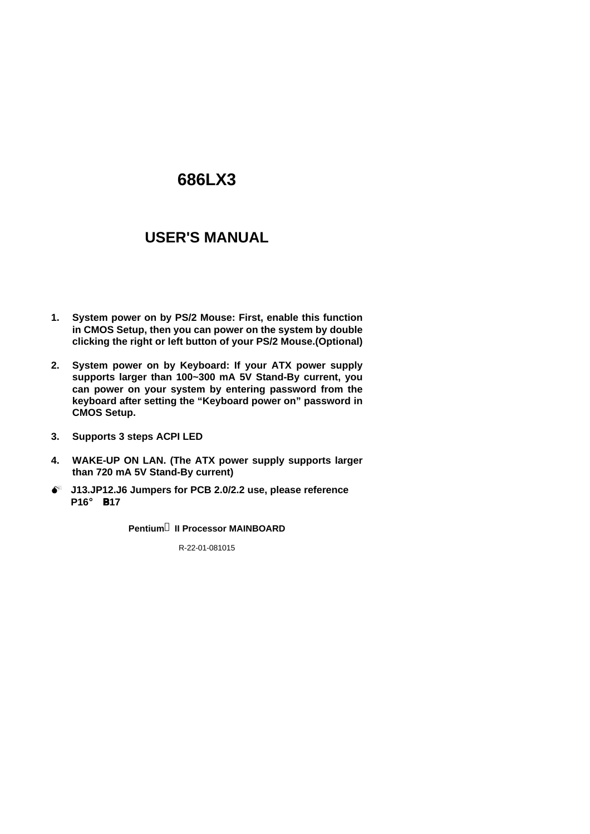# **USER'S MANUAL**

- **1. System power on by PS/2 Mouse: First, enable this function in CMOS Setup, then you can power on the system by double clicking the right or left button of your PS/2 Mouse.(Optional)**
- **2. System power on by Keyboard: If your ATX power supply supports larger than 100~300 mA 5V Stand-By current, you can power on your system by entering password from the keyboard after setting the "Keyboard power on" password in CMOS Setup.**
- **3. Supports 3 steps ACPI LED**
- **4. WAKE-UP ON LAN. (The ATX power supply supports larger than 720 mA 5V Stand-By current)**
- $\bullet^*$  J13.JP12.J6 Jumpers for PCB 2.0/2.2 use, please reference **P16**¡ B**P17**

**Pentiumâ II Processor MAINBOARD**

R-22-01-081015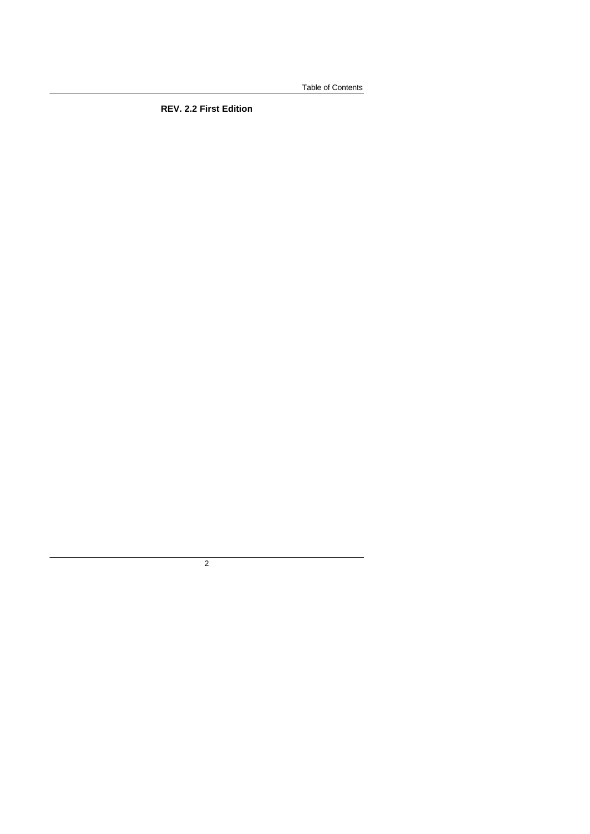Table of Contents

**REV. 2.2 First Edition**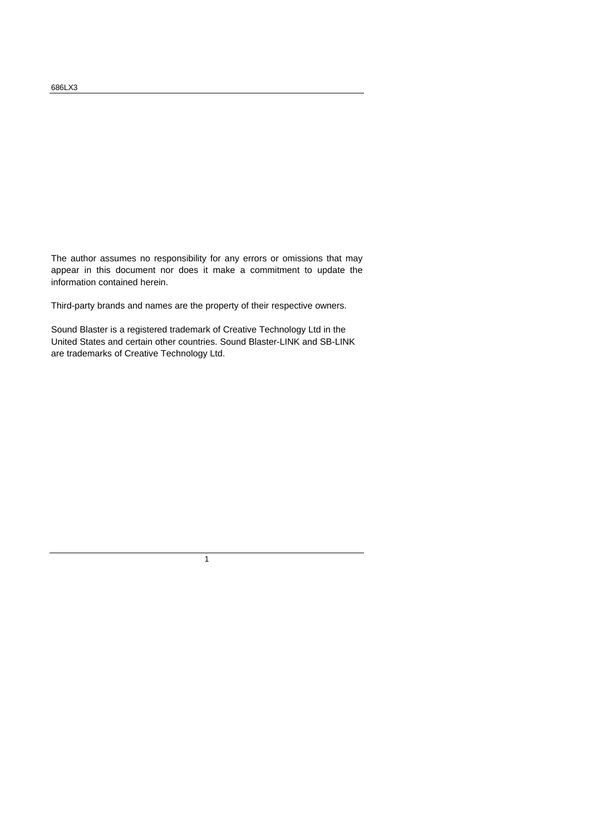The author assumes no responsibility for any errors or omissions that may appear in this document nor does it make a commitment to update the information contained herein.

Third-party brands and names are the property of their respective owners.

Sound Blaster is a registered trademark of Creative Technology Ltd in the United States and certain other countries. Sound Blaster-LINK and SB-LINK are trademarks of Creative Technology Ltd.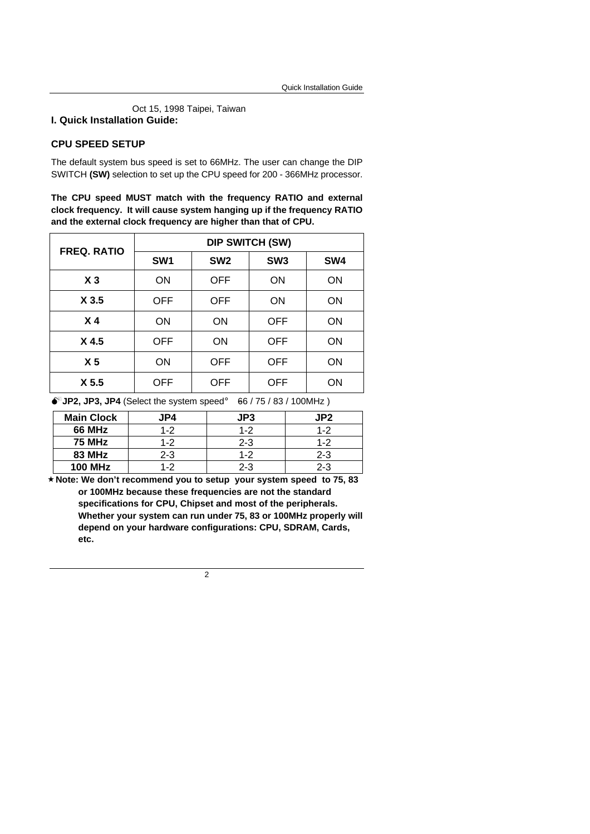Oct 15, 1998 Taipei, Taiwan

#### **I. Quick Installation Guide:**

#### **CPU SPEED SETUP**

The default system bus speed is set to 66MHz. The user can change the DIP SWITCH **(SW)** selection to set up the CPU speed for 200 - 366MHz processor.

**The CPU speed MUST match with the frequency RATIO and external clock frequency. It will cause system hanging up if the frequency RATIO and the external clock frequency are higher than that of CPU.**

| <b>FREQ. RATIO</b> | <b>DIP SWITCH (SW)</b> |                 |                 |     |
|--------------------|------------------------|-----------------|-----------------|-----|
|                    | SW <sub>1</sub>        | SW <sub>2</sub> | SW <sub>3</sub> | SW4 |
| X <sub>3</sub>     | <b>ON</b>              | <b>OFF</b>      | ON              | ON  |
| X 3.5              | <b>OFF</b>             | <b>OFF</b>      | <b>ON</b>       | ON  |
| X <sub>4</sub>     | <b>ON</b>              | <b>ON</b>       | <b>OFF</b>      | ON  |
| X4.5               | <b>OFF</b>             | <b>ON</b>       | <b>OFF</b>      | ON  |
| X <sub>5</sub>     | ON                     | <b>OFF</b>      | <b>OFF</b>      | ON  |
| X <sub>5.5</sub>   | OFF                    | OFF             | <b>OFF</b>      | ΟN  |

 $\bullet^*$ **JP2, JP3, JP4** (Select the system speed;  $\bullet$ 66 / 75 / 83 / 100MHz)

| <b>Main Clock</b> | JP4     | JP3     | JP2     |
|-------------------|---------|---------|---------|
| <b>66 MHz</b>     | $1 - 2$ | $1 - 2$ | $1 - 2$ |
| <b>75 MHz</b>     | 1-2     | $2 - 3$ | $1 - 2$ |
| <b>83 MHz</b>     | $2 - 3$ | $1 - 2$ | $2 - 3$ |
| <b>100 MHz</b>    | 1-2     | 2-3     | $2 - 3$ |

 **´Note: We don't recommend you to setup your system speed to 75, 83 or 100MHz because these frequencies are not the standard specifications for CPU, Chipset and most of the peripherals. Whether your system can run under 75, 83 or 100MHz properly will depend on your hardware configurations: CPU, SDRAM, Cards, etc.**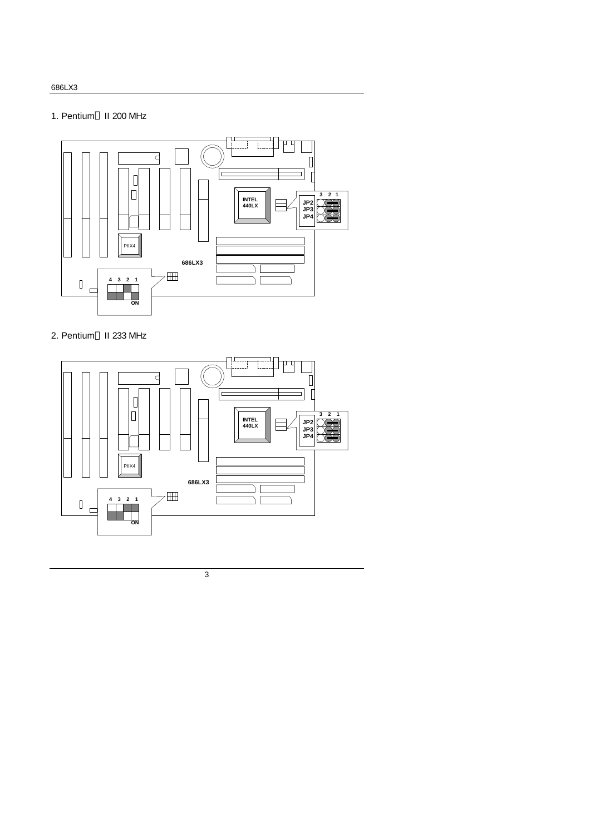## 1. Pentium<sup>®</sup> II 200 MHz



## 2. Pentium<sup>®</sup> II 233 MHz

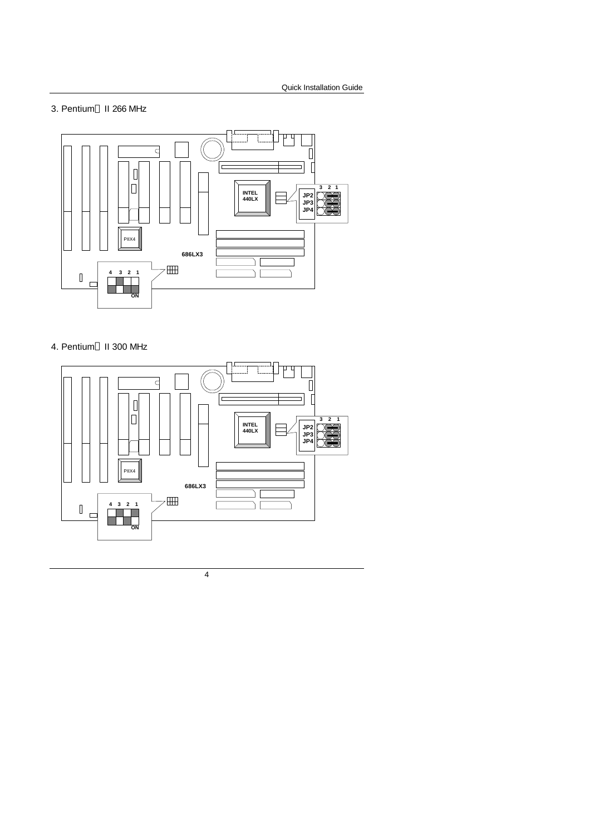#### 3. Pentium<sup>®</sup> II 266 MHz



### 4. Pentium<sup>®</sup> II 300 MHz

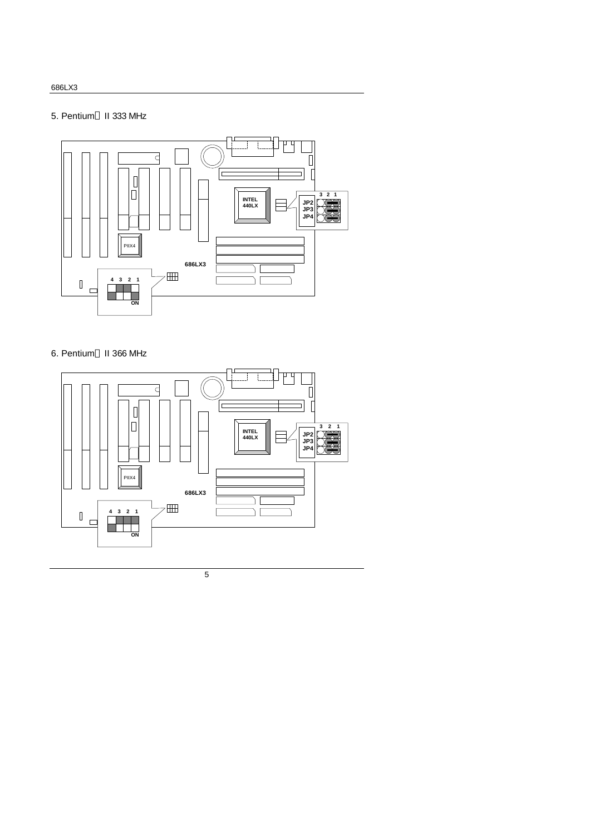## 5. Pentium<sup>®</sup> II 333 MHz



## 6. Pentium<sup>®</sup> II 366 MHz

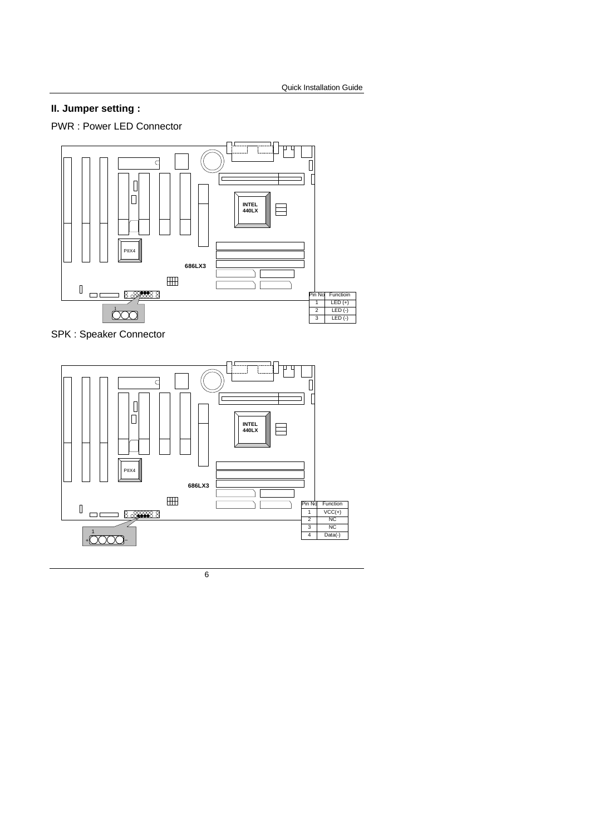# **II. Jumper setting :**

PWR : Power LED Connector



SPK : Speaker Connector

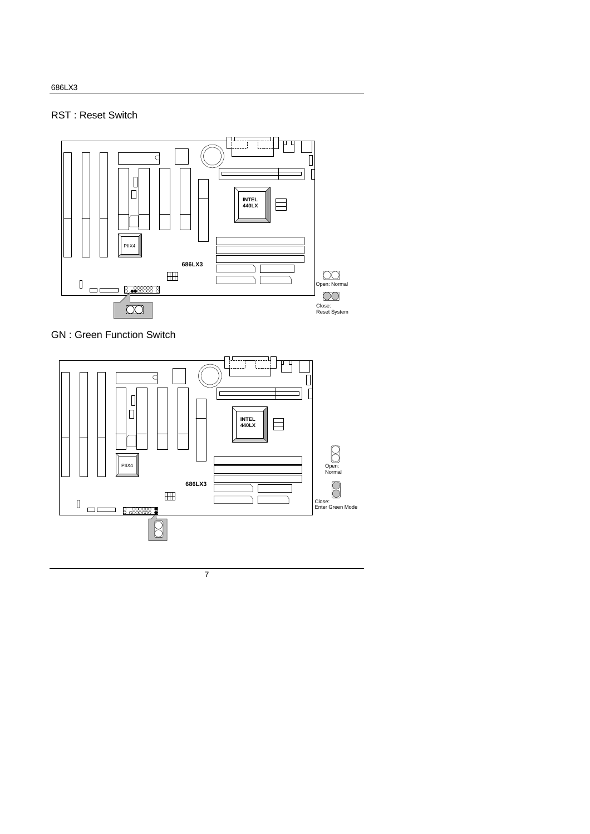# RST : Reset Switch



GN : Green Function Switch



686LX3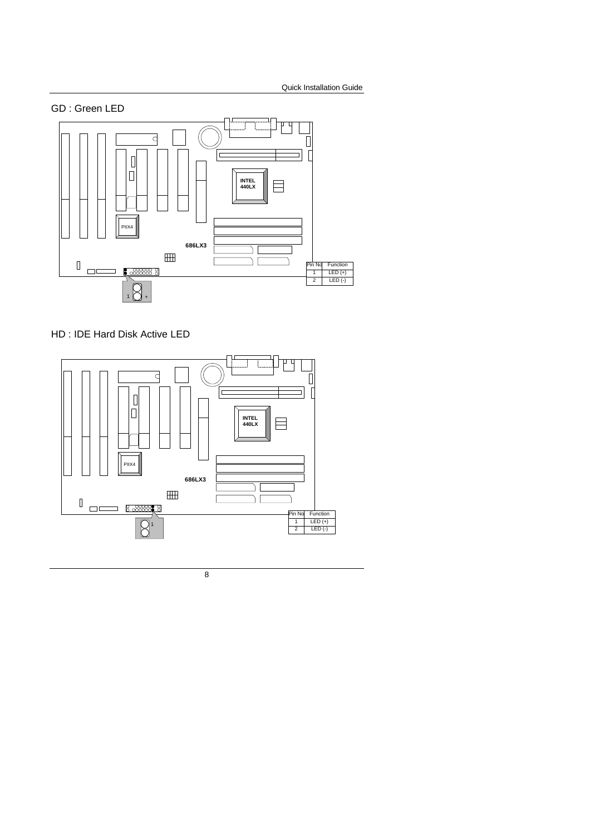

HD : IDE Hard Disk Active LED

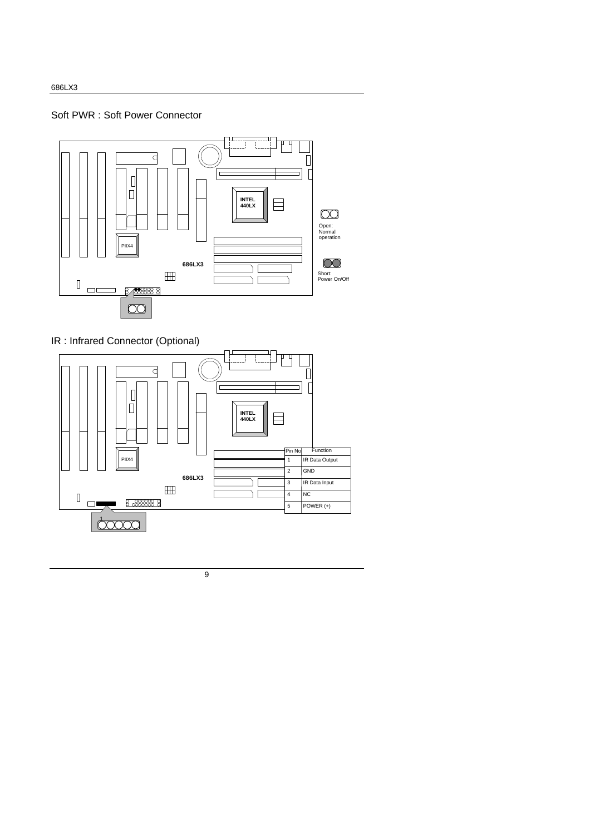### Soft PWR : Soft Power Connector



# IR : Infrared Connector (Optional)

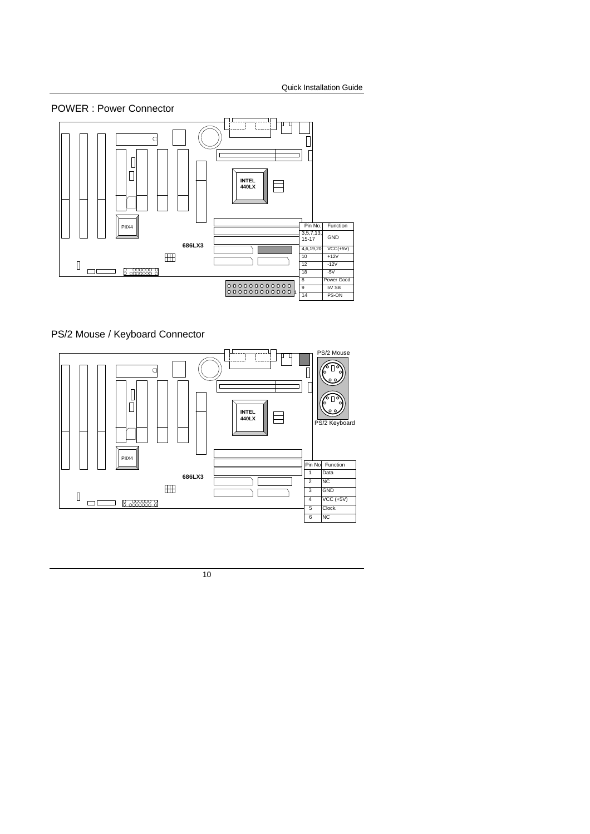

PS/2 Mouse / Keyboard Connector

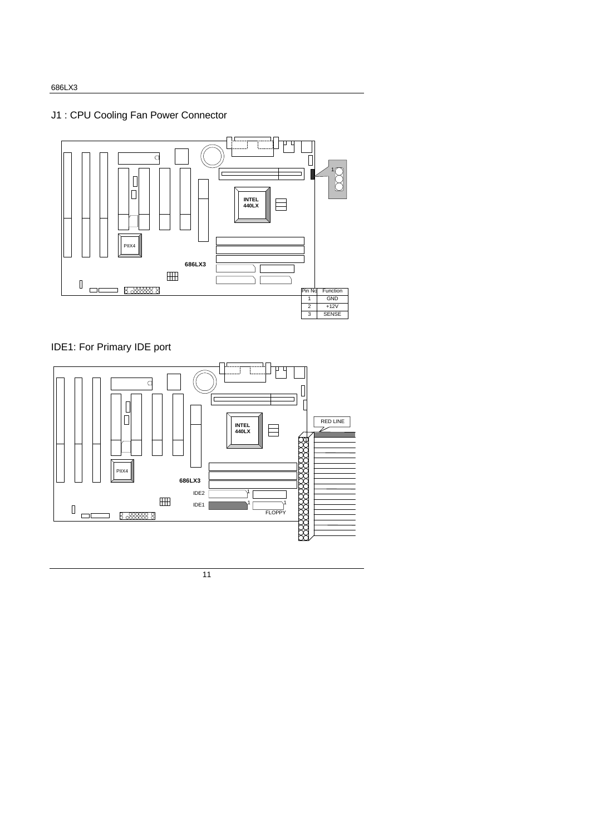# J1 : CPU Cooling Fan Power Connector



# IDE1: For Primary IDE port

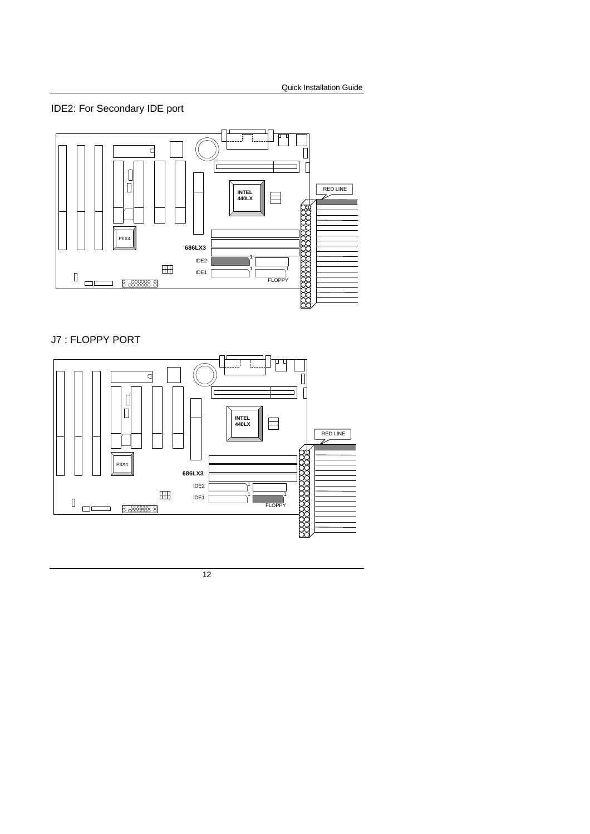IDE2: For Secondary IDE port



### J7 : FLOPPY PORT

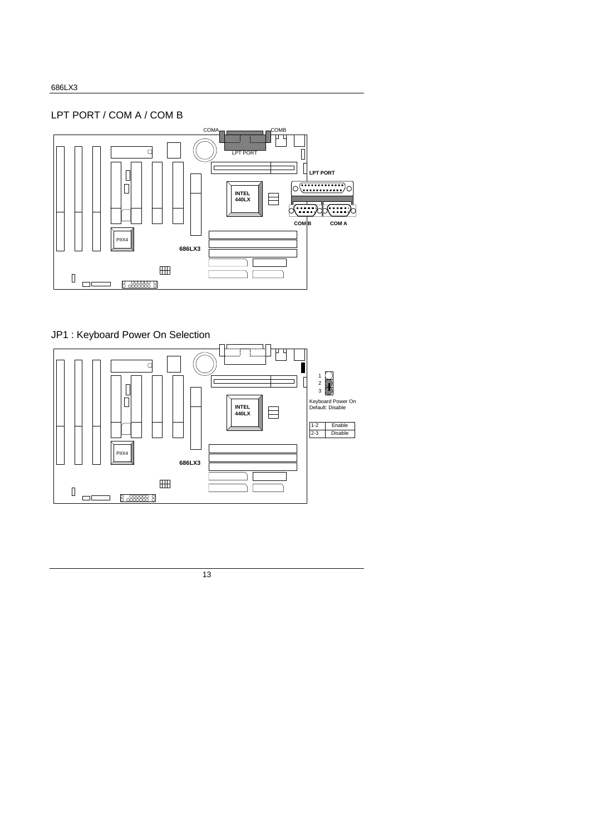LPT PORT / COM A / COM B



# JP1 : Keyboard Power On Selection

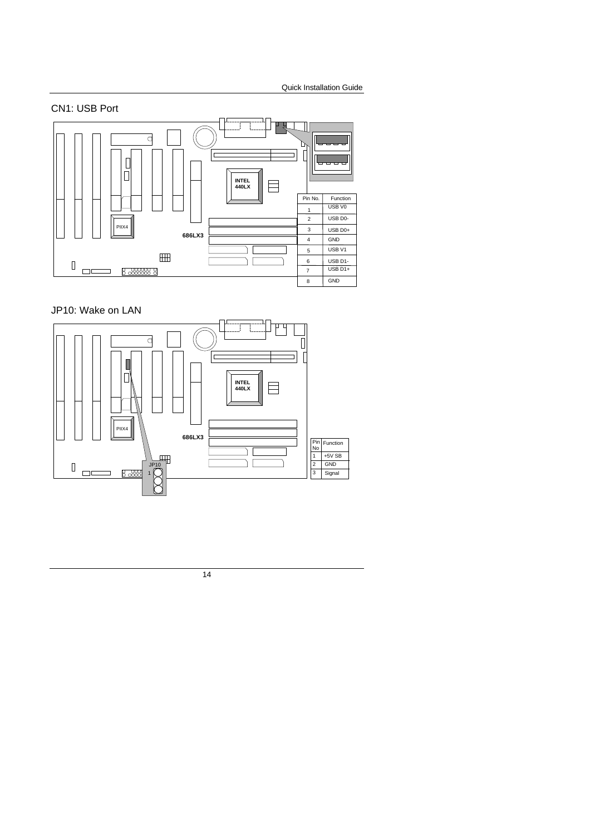

## JP10: Wake on LAN

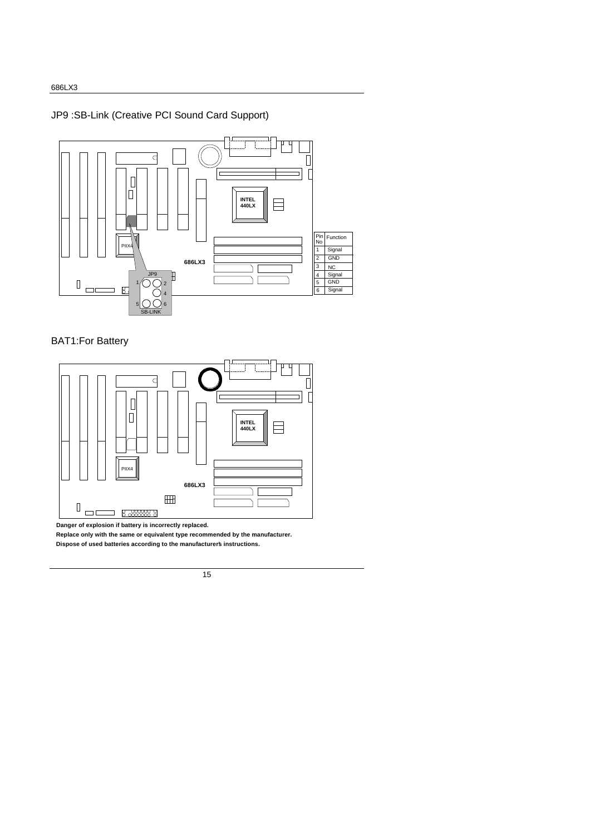# JP9 :SB-Link (Creative PCI Sound Card Support)



## BAT1:For Battery



 **Replace only with the same or equivalent type recommended by the manufacturer. Dispose of used batteries according to the manufacturer's instructions.**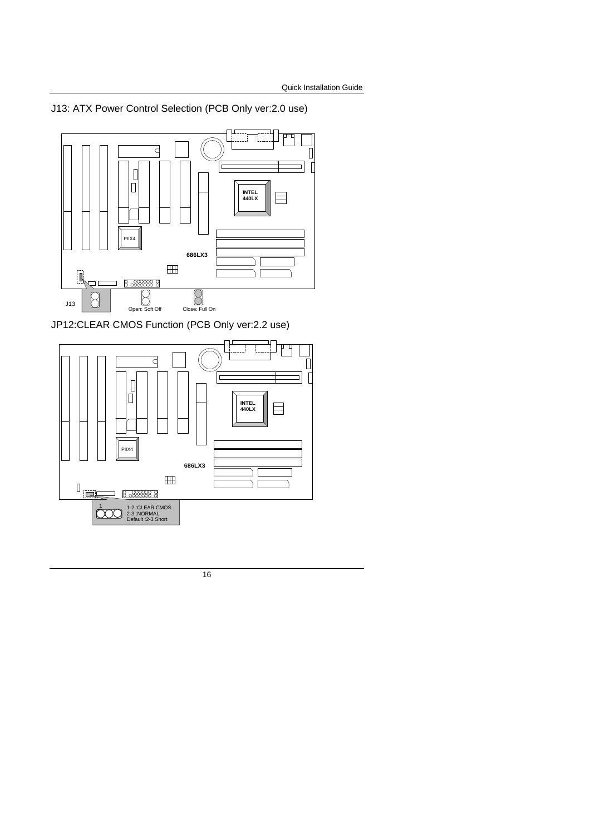J13: ATX Power Control Selection (PCB Only ver:2.0 use)



JP12:CLEAR CMOS Function (PCB Only ver:2.2 use)